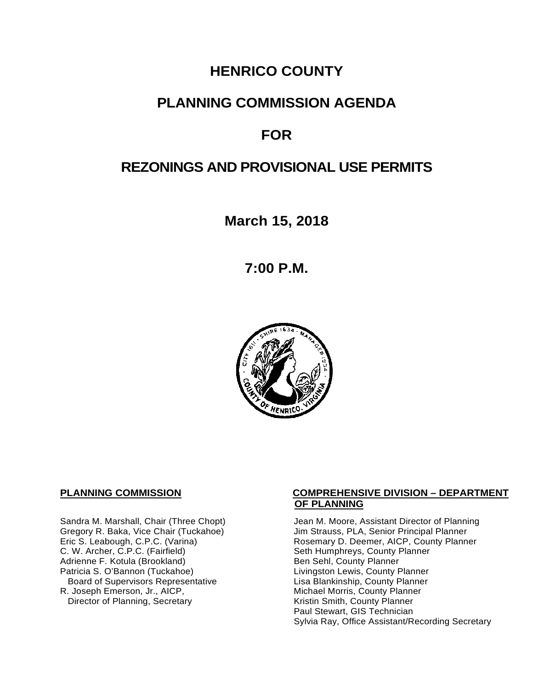# **HENRICO COUNTY**

## **PLANNING COMMISSION AGENDA**

# **FOR**

# **REZONINGS AND PROVISIONAL USE PERMITS**

**March 15, 2018**

**7:00 P.M.**



C. W. Archer, C.P.C. (Fairfield) Seth Humphreys, County I<br>Adrienne F. Kotula (Brookland) Seth Sehl, County Planner Adrienne F. Kotula (Brookland)<br>Patricia S. O'Bannon (Tuckahoe) Board of Supervisors Representative<br>R. Joseph Emerson, Jr., AICP, Director of Planning, Secretary

#### **PLANNING COMMISSION COMPREHENSIVE DIVISION – DEPARTMENT OF PLANNING**

Sandra M. Marshall, Chair (Three Chopt) Jean M. Moore, Assistant Director of Planning<br>Gregory R. Baka, Vice Chair (Tuckahoe) Jim Strauss, PLA, Senior Principal Planner Gregory R. Baka, Vice Chair (Tuckahoe) Jim Strauss, PLA, Senior Principal Planner<br>
Eric S. Leabough, C.P.C. (Varina) Sand Brown Rosemary D. Deemer, AICP, County Planner Rosemary D. Deemer, AICP, County Planner<br>Seth Humphreys, County Planner Livingston Lewis, County Planner<br>Lisa Blankinship, County Planner Michael Morris, County Planner<br>Kristin Smith, County Planner Paul Stewart, GIS Technician Sylvia Ray, Office Assistant/Recording Secretary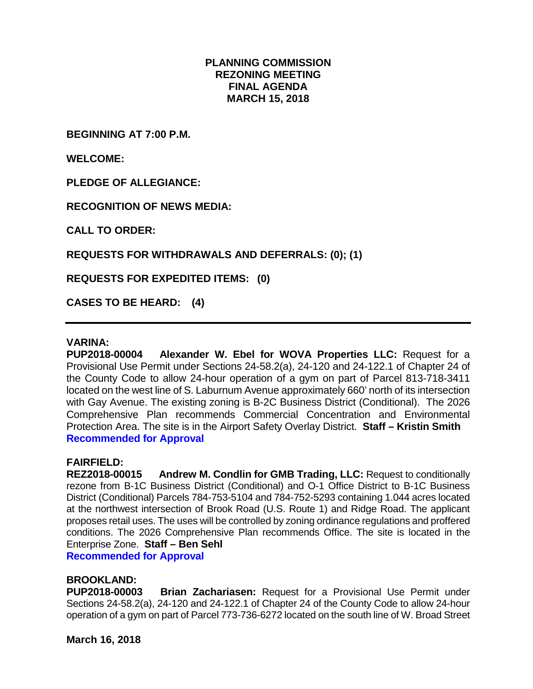## **PLANNING COMMISSION REZONING MEETING FINAL AGENDA MARCH 15, 2018**

**BEGINNING AT 7:00 P.M.**

**WELCOME:**

**PLEDGE OF ALLEGIANCE:**

**RECOGNITION OF NEWS MEDIA:**

**CALL TO ORDER:**

**REQUESTS FOR WITHDRAWALS AND DEFERRALS: (0); (1)**

**REQUESTS FOR EXPEDITED ITEMS: (0)**

**CASES TO BE HEARD: (4)**

#### **VARINA:**

**PUP2018-00004 Alexander W. Ebel for WOVA Properties LLC:** Request for a Provisional Use Permit under Sections 24-58.2(a), 24-120 and 24-122.1 of Chapter 24 of the County Code to allow 24-hour operation of a gym on part of Parcel 813-718-3411 located on the west line of S. Laburnum Avenue approximately 660' north of its intersection with Gay Avenue. The existing zoning is B-2C Business District (Conditional). The 2026 Comprehensive Plan recommends Commercial Concentration and Environmental Protection Area. The site is in the Airport Safety Overlay District. **Staff – Kristin Smith Recommended for Approval**

#### **FAIRFIELD:**

**REZ2018-00015 Andrew M. Condlin for GMB Trading, LLC:** Request to conditionally rezone from B-1C Business District (Conditional) and O-1 Office District to B-1C Business District (Conditional) Parcels 784-753-5104 and 784-752-5293 containing 1.044 acres located at the northwest intersection of Brook Road (U.S. Route 1) and Ridge Road. The applicant proposes retail uses. The uses will be controlled by zoning ordinance regulations and proffered conditions. The 2026 Comprehensive Plan recommends Office. The site is located in the Enterprise Zone. **Staff – Ben Sehl**

**Recommended for Approval**

### **BROOKLAND:**

**PUP2018-00003 Brian Zachariasen:** Request for a Provisional Use Permit under Sections 24-58.2(a), 24-120 and 24-122.1 of Chapter 24 of the County Code to allow 24-hour operation of a gym on part of Parcel 773-736-6272 located on the south line of W. Broad Street

**March 16, 2018**